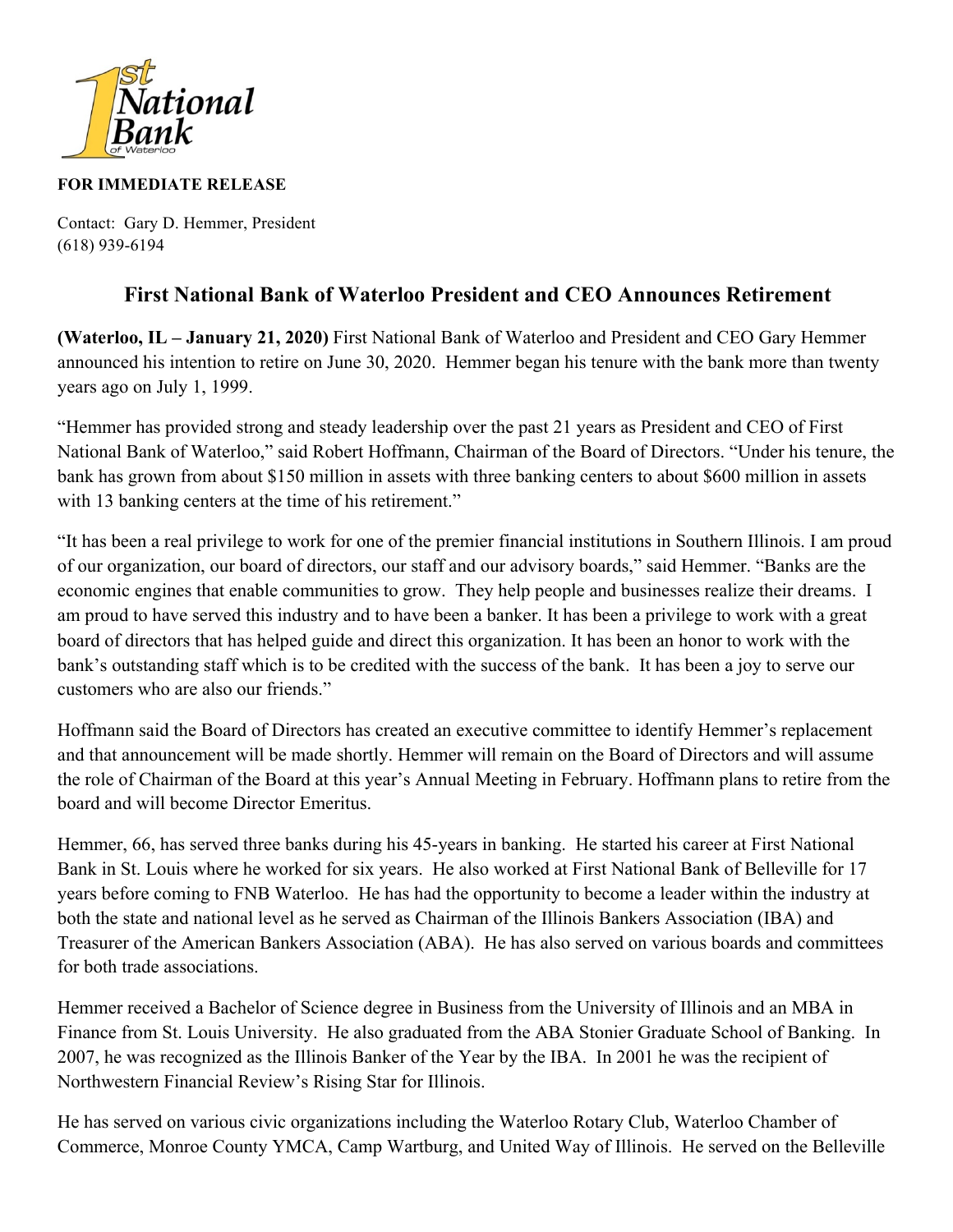

## **FOR IMMEDIATE RELEASE**

Contact: Gary D. Hemmer, President (618) 939-6194

## **First National Bank of Waterloo President and CEO Announces Retirement**

**(Waterloo, IL – January 21, 2020)** First National Bank of Waterloo and President and CEO Gary Hemmer announced his intention to retire on June 30, 2020. Hemmer began his tenure with the bank more than twenty years ago on July 1, 1999.

"Hemmer has provided strong and steady leadership over the past 21 years as President and CEO of First National Bank of Waterloo," said Robert Hoffmann, Chairman of the Board of Directors. "Under his tenure, the bank has grown from about \$150 million in assets with three banking centers to about \$600 million in assets with 13 banking centers at the time of his retirement."

"It has been a real privilege to work for one of the premier financial institutions in Southern Illinois. I am proud of our organization, our board of directors, our staff and our advisory boards," said Hemmer. "Banks are the economic engines that enable communities to grow. They help people and businesses realize their dreams. I am proud to have served this industry and to have been a banker. It has been a privilege to work with a great board of directors that has helped guide and direct this organization. It has been an honor to work with the bank's outstanding staff which is to be credited with the success of the bank. It has been a joy to serve our customers who are also our friends."

Hoffmann said the Board of Directors has created an executive committee to identify Hemmer's replacement and that announcement will be made shortly. Hemmer will remain on the Board of Directors and will assume the role of Chairman of the Board at this year's Annual Meeting in February. Hoffmann plans to retire from the board and will become Director Emeritus.

Hemmer, 66, has served three banks during his 45-years in banking. He started his career at First National Bank in St. Louis where he worked for six years. He also worked at First National Bank of Belleville for 17 years before coming to FNB Waterloo. He has had the opportunity to become a leader within the industry at both the state and national level as he served as Chairman of the Illinois Bankers Association (IBA) and Treasurer of the American Bankers Association (ABA). He has also served on various boards and committees for both trade associations.

Hemmer received a Bachelor of Science degree in Business from the University of Illinois and an MBA in Finance from St. Louis University. He also graduated from the ABA Stonier Graduate School of Banking. In 2007, he was recognized as the Illinois Banker of the Year by the IBA. In 2001 he was the recipient of Northwestern Financial Review's Rising Star for Illinois.

He has served on various civic organizations including the Waterloo Rotary Club, Waterloo Chamber of Commerce, Monroe County YMCA, Camp Wartburg, and United Way of Illinois. He served on the Belleville